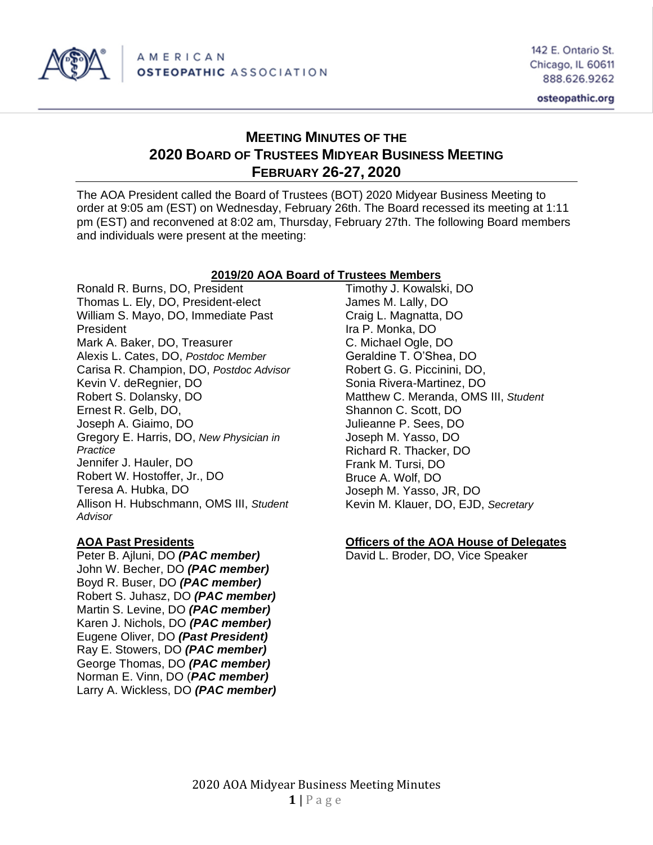

# **MEETING MINUTES OF THE 2020 BOARD OF TRUSTEES MIDYEAR BUSINESS MEETING FEBRUARY 26-27, 2020**

The AOA President called the Board of Trustees (BOT) 2020 Midyear Business Meeting to order at 9:05 am (EST) on Wednesday, February 26th. The Board recessed its meeting at 1:11 pm (EST) and reconvened at 8:02 am, Thursday, February 27th. The following Board members and individuals were present at the meeting:

## **2019/20 AOA Board of Trustees Members**

Ronald R. Burns, DO, President Thomas L. Ely, DO, President-elect William S. Mayo, DO, Immediate Past President Mark A. Baker, DO, Treasurer Alexis L. Cates, DO, *Postdoc Member* Carisa R. Champion, DO, *Postdoc Advisor* Kevin V. deRegnier, DO Robert S. Dolansky, DO Ernest R. Gelb, DO, Joseph A. Giaimo, DO Gregory E. Harris, DO, *New Physician in Practice* Jennifer J. Hauler, DO Robert W. Hostoffer, Jr., DO Teresa A. Hubka, DO Allison H. Hubschmann, OMS III, *Student Advisor*

Peter B. Ajluni, DO *(PAC member)* David L. Broder, DO, Vice Speaker John W. Becher, DO *(PAC member)* Boyd R. Buser, DO *(PAC member)* Robert S. Juhasz, DO *(PAC member)* Martin S. Levine, DO *(PAC member)* Karen J. Nichols, DO *(PAC member)* Eugene Oliver, DO *(Past President)* Ray E. Stowers, DO *(PAC member)* George Thomas, DO *(PAC member)* Norman E. Vinn, DO (*PAC member)* Larry A. Wickless, DO *(PAC member)*

Timothy J. Kowalski, DO James M. Lally, DO Craig L. Magnatta, DO Ira P. Monka, DO C. Michael Ogle, DO Geraldine T. O'Shea, DO Robert G. G. Piccinini, DO, Sonia Rivera-Martinez, DO Matthew C. Meranda, OMS III, *Student* Shannon C. Scott, DO Julieanne P. Sees, DO Joseph M. Yasso, DO Richard R. Thacker, DO Frank M. Tursi, DO Bruce A. Wolf, DO Joseph M. Yasso, JR, DO Kevin M. Klauer, DO, EJD, *Secretary*

## **AOA Past Presidents Officers of the AOA House of Delegates**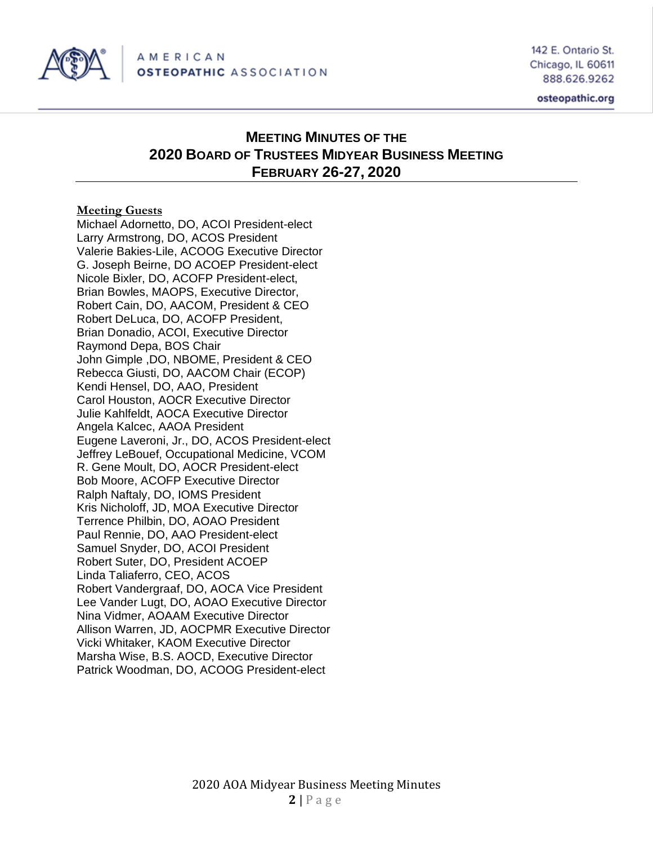

# **MEETING MINUTES OF THE 2020 BOARD OF TRUSTEES MIDYEAR BUSINESS MEETING FEBRUARY 26-27, 2020**

## **Meeting Guests**

Michael Adornetto, DO, ACOI President-elect Larry Armstrong, DO, ACOS President Valerie Bakies-Lile, ACOOG Executive Director G. Joseph Beirne, DO ACOEP President-elect Nicole Bixler, DO, ACOFP President-elect, Brian Bowles, MAOPS, Executive Director, Robert Cain, DO, AACOM, President & CEO Robert DeLuca, DO, ACOFP President, Brian Donadio, ACOI, Executive Director Raymond Depa, BOS Chair John Gimple ,DO, NBOME, President & CEO Rebecca Giusti, DO, AACOM Chair (ECOP) Kendi Hensel, DO, AAO, President Carol Houston, AOCR Executive Director Julie Kahlfeldt, AOCA Executive Director Angela Kalcec, AAOA President Eugene Laveroni, Jr., DO, ACOS President-elect Jeffrey LeBouef, Occupational Medicine, VCOM R. Gene Moult, DO, AOCR President-elect Bob Moore, ACOFP Executive Director Ralph Naftaly, DO, IOMS President Kris Nicholoff, JD, MOA Executive Director Terrence Philbin, DO, AOAO President Paul Rennie, DO, AAO President-elect Samuel Snyder, DO, ACOI President Robert Suter, DO, President ACOEP Linda Taliaferro, CEO, ACOS Robert Vandergraaf, DO, AOCA Vice President Lee Vander Lugt, DO, AOAO Executive Director Nina Vidmer, AOAAM Executive Director Allison Warren, JD, AOCPMR Executive Director Vicki Whitaker, KAOM Executive Director Marsha Wise, B.S. AOCD, Executive Director Patrick Woodman, DO, ACOOG President-elect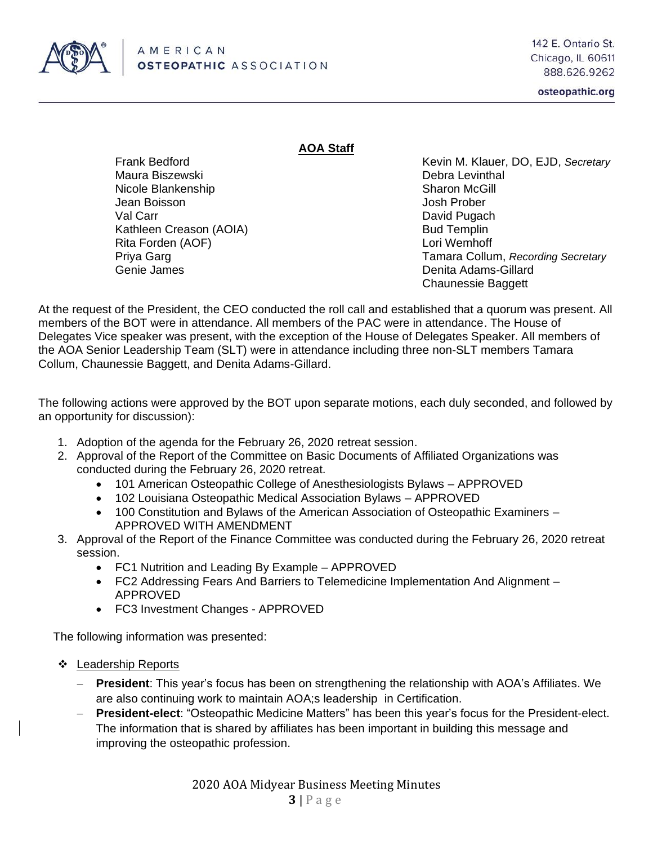

## **AOA Staff**

Maura Biszewski Debra Levinthal Nicole Blankenship Sharon McGill Jean Boisson Josh Prober Val Carr **David Pugach** Kathleen Creason (AOIA) Bud Templin Rita Forden (AOF) **Rita Forden** (AOF) **Lori Wemhoff** Genie James Denita Adams-Gillard

Frank Bedford **Kevin M. Klauer, DO, EJD, Secretary** Kevin M. Klauer, DO, EJD, Secretary Priya Garg Tamara Collum, *Recording Secretary* Chaunessie Baggett

At the request of the President, the CEO conducted the roll call and established that a quorum was present. All members of the BOT were in attendance. All members of the PAC were in attendance. The House of Delegates Vice speaker was present, with the exception of the House of Delegates Speaker. All members of the AOA Senior Leadership Team (SLT) were in attendance including three non-SLT members Tamara Collum, Chaunessie Baggett, and Denita Adams-Gillard.

The following actions were approved by the BOT upon separate motions, each duly seconded, and followed by an opportunity for discussion):

- 1. Adoption of the agenda for the February 26, 2020 retreat session.
- 2. Approval of the Report of the Committee on Basic Documents of Affiliated Organizations was conducted during the February 26, 2020 retreat.
	- 101 American Osteopathic College of Anesthesiologists Bylaws APPROVED
	- 102 Louisiana Osteopathic Medical Association Bylaws APPROVED
	- 100 Constitution and Bylaws of the American Association of Osteopathic Examiners APPROVED WITH AMENDMENT
- 3. Approval of the Report of the Finance Committee was conducted during the February 26, 2020 retreat session.
	- FC1 Nutrition and Leading By Example APPROVED
	- FC2 Addressing Fears And Barriers to Telemedicine Implementation And Alignment APPROVED
	- FC3 Investment Changes APPROVED

The following information was presented:

- ❖ Leadership Reports
	- − **President**: This year's focus has been on strengthening the relationship with AOA's Affiliates. We are also continuing work to maintain AOA;s leadership in Certification.
	- − **President-elect**: "Osteopathic Medicine Matters" has been this year's focus for the President-elect. The information that is shared by affiliates has been important in building this message and improving the osteopathic profession.